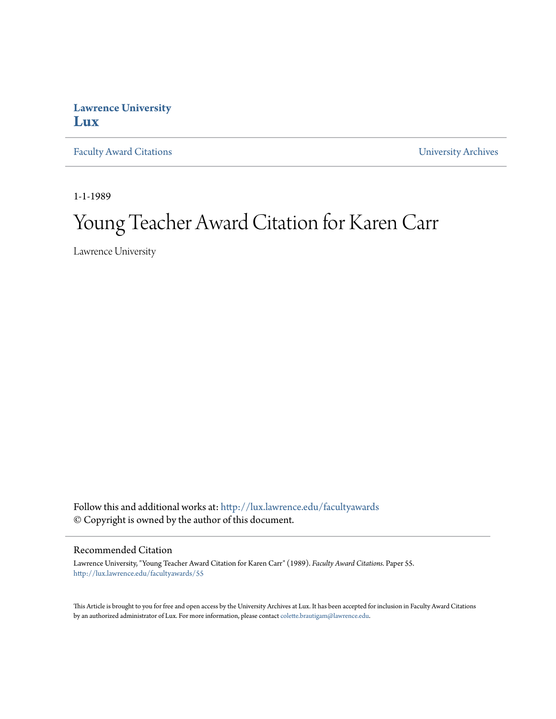## **Lawrence University [Lux](http://lux.lawrence.edu?utm_source=lux.lawrence.edu%2Ffacultyawards%2F55&utm_medium=PDF&utm_campaign=PDFCoverPages)**

[Faculty Award Citations](http://lux.lawrence.edu/facultyawards?utm_source=lux.lawrence.edu%2Ffacultyawards%2F55&utm_medium=PDF&utm_campaign=PDFCoverPages) **Example 2018** [University Archives](http://lux.lawrence.edu/archives?utm_source=lux.lawrence.edu%2Ffacultyawards%2F55&utm_medium=PDF&utm_campaign=PDFCoverPages)

1-1-1989

# Young Teacher Award Citation for Karen Carr

Lawrence University

Follow this and additional works at: [http://lux.lawrence.edu/facultyawards](http://lux.lawrence.edu/facultyawards?utm_source=lux.lawrence.edu%2Ffacultyawards%2F55&utm_medium=PDF&utm_campaign=PDFCoverPages) © Copyright is owned by the author of this document.

#### Recommended Citation

Lawrence University, "Young Teacher Award Citation for Karen Carr" (1989). *Faculty Award Citations.* Paper 55. [http://lux.lawrence.edu/facultyawards/55](http://lux.lawrence.edu/facultyawards/55?utm_source=lux.lawrence.edu%2Ffacultyawards%2F55&utm_medium=PDF&utm_campaign=PDFCoverPages)

This Article is brought to you for free and open access by the University Archives at Lux. It has been accepted for inclusion in Faculty Award Citations by an authorized administrator of Lux. For more information, please contact [colette.brautigam@lawrence.edu](mailto:colette.brautigam@lawrence.edu).